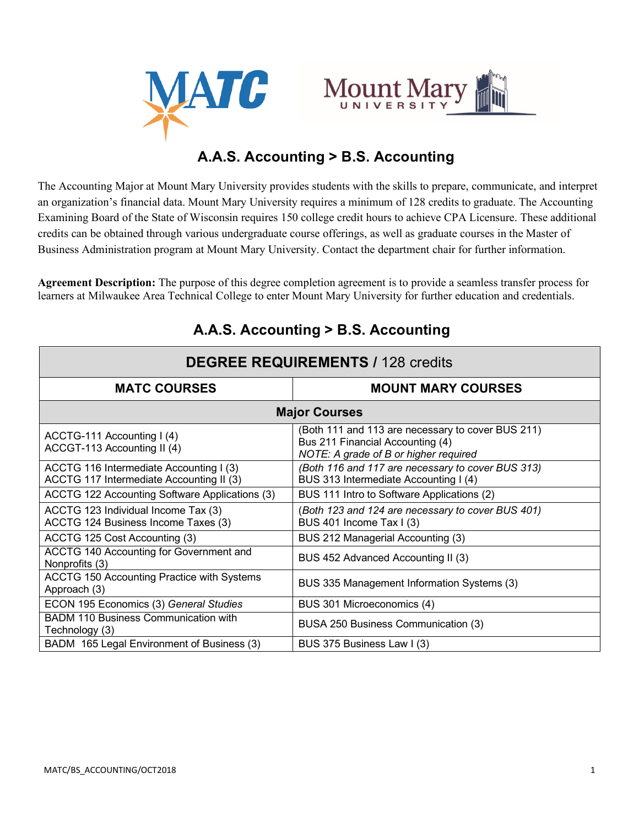



# **A.A.S. Accounting > B.S. Accounting**

The Accounting Major at Mount Mary University provides students with the skills to prepare, communicate, and interpret an organization's financial data. Mount Mary University requires a minimum of 128 credits to graduate. The Accounting Examining Board of the State of Wisconsin requires 150 college credit hours to achieve CPA Licensure. These additional credits can be obtained through various undergraduate course offerings, as well as graduate courses in the Master of Business Administration program at Mount Mary University. Contact the department chair for further information.

**Agreement Description:** The purpose of this degree completion agreement is to provide a seamless transfer process for learners at Milwaukee Area Technical College to enter Mount Mary University for further education and credentials.

| <b>DEGREE REQUIREMENTS / 128 credits</b>                                            |                                                                                                                                |  |
|-------------------------------------------------------------------------------------|--------------------------------------------------------------------------------------------------------------------------------|--|
| <b>MATC COURSES</b>                                                                 | <b>MOUNT MARY COURSES</b>                                                                                                      |  |
| <b>Major Courses</b>                                                                |                                                                                                                                |  |
| ACCTG-111 Accounting I (4)<br>ACCGT-113 Accounting II (4)                           | (Both 111 and 113 are necessary to cover BUS 211)<br>Bus 211 Financial Accounting (4)<br>NOTE: A grade of B or higher required |  |
| ACCTG 116 Intermediate Accounting I (3)<br>ACCTG 117 Intermediate Accounting II (3) | (Both 116 and 117 are necessary to cover BUS 313)<br>BUS 313 Intermediate Accounting I (4)                                     |  |
| ACCTG 122 Accounting Software Applications (3)                                      | BUS 111 Intro to Software Applications (2)                                                                                     |  |
| ACCTG 123 Individual Income Tax (3)<br>ACCTG 124 Business Income Taxes (3)          | (Both 123 and 124 are necessary to cover BUS 401)<br>BUS 401 Income Tax I (3)                                                  |  |
| ACCTG 125 Cost Accounting (3)                                                       | BUS 212 Managerial Accounting (3)                                                                                              |  |
| ACCTG 140 Accounting for Government and<br>Nonprofits (3)                           | BUS 452 Advanced Accounting II (3)                                                                                             |  |
| ACCTG 150 Accounting Practice with Systems<br>Approach (3)                          | BUS 335 Management Information Systems (3)                                                                                     |  |
| ECON 195 Economics (3) General Studies                                              | BUS 301 Microeconomics (4)                                                                                                     |  |
| <b>BADM 110 Business Communication with</b><br>Technology (3)                       | BUSA 250 Business Communication (3)                                                                                            |  |
| BADM 165 Legal Environment of Business (3)                                          | BUS 375 Business Law I (3)                                                                                                     |  |

## **A.A.S. Accounting > B.S. Accounting**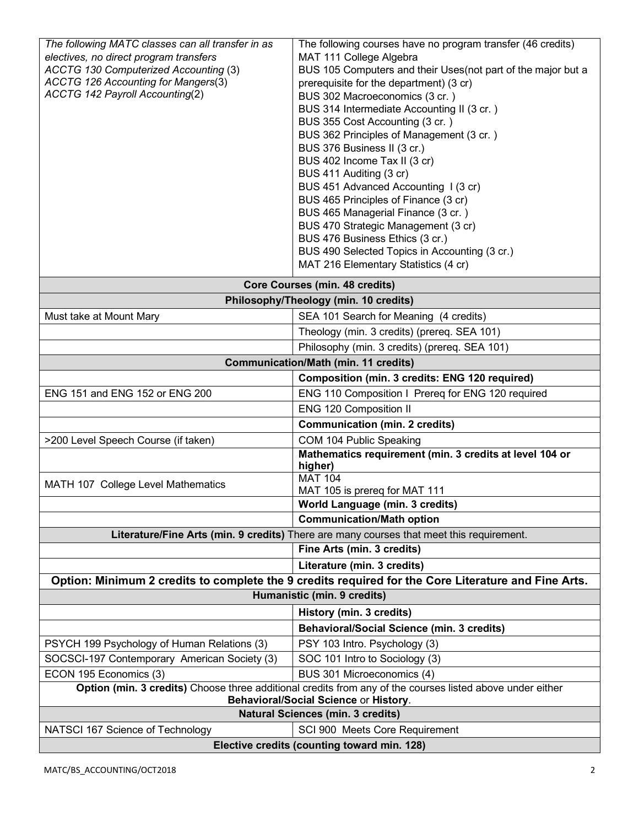| The following MATC classes can all transfer in as                                                         | The following courses have no program transfer (46 credits)                |
|-----------------------------------------------------------------------------------------------------------|----------------------------------------------------------------------------|
| electives, no direct program transfers                                                                    | MAT 111 College Algebra                                                    |
| ACCTG 130 Computerized Accounting (3)<br>ACCTG 126 Accounting for Mangers(3)                              | BUS 105 Computers and their Uses(not part of the major but a               |
| <b>ACCTG 142 Payroll Accounting(2)</b>                                                                    | prerequisite for the department) (3 cr)<br>BUS 302 Macroeconomics (3 cr.)  |
|                                                                                                           | BUS 314 Intermediate Accounting II (3 cr.)                                 |
|                                                                                                           | BUS 355 Cost Accounting (3 cr.)                                            |
|                                                                                                           | BUS 362 Principles of Management (3 cr.)                                   |
|                                                                                                           | BUS 376 Business II (3 cr.)                                                |
|                                                                                                           | BUS 402 Income Tax II (3 cr)                                               |
|                                                                                                           | BUS 411 Auditing (3 cr)                                                    |
|                                                                                                           | BUS 451 Advanced Accounting 1(3 cr)                                        |
|                                                                                                           | BUS 465 Principles of Finance (3 cr)<br>BUS 465 Managerial Finance (3 cr.) |
|                                                                                                           | BUS 470 Strategic Management (3 cr)                                        |
|                                                                                                           | BUS 476 Business Ethics (3 cr.)                                            |
|                                                                                                           | BUS 490 Selected Topics in Accounting (3 cr.)                              |
|                                                                                                           | MAT 216 Elementary Statistics (4 cr)                                       |
|                                                                                                           |                                                                            |
| Core Courses (min. 48 credits)<br>Philosophy/Theology (min. 10 credits)                                   |                                                                            |
| Must take at Mount Mary                                                                                   | SEA 101 Search for Meaning (4 credits)                                     |
|                                                                                                           |                                                                            |
|                                                                                                           | Theology (min. 3 credits) (prereq. SEA 101)                                |
| Philosophy (min. 3 credits) (prereq. SEA 101)                                                             |                                                                            |
| <b>Communication/Math (min. 11 credits)</b>                                                               |                                                                            |
|                                                                                                           | Composition (min. 3 credits: ENG 120 required)                             |
| ENG 151 and ENG 152 or ENG 200                                                                            | ENG 110 Composition I Prereq for ENG 120 required                          |
|                                                                                                           | ENG 120 Composition II                                                     |
|                                                                                                           | <b>Communication (min. 2 credits)</b>                                      |
| >200 Level Speech Course (if taken)                                                                       | COM 104 Public Speaking                                                    |
|                                                                                                           | Mathematics requirement (min. 3 credits at level 104 or<br>higher)         |
|                                                                                                           | <b>MAT 104</b>                                                             |
| MATH 107 College Level Mathematics                                                                        | MAT 105 is prereq for MAT 111                                              |
|                                                                                                           | World Language (min. 3 credits)                                            |
|                                                                                                           | <b>Communication/Math option</b>                                           |
| Literature/Fine Arts (min. 9 credits) There are many courses that meet this requirement.                  |                                                                            |
|                                                                                                           | Fine Arts (min. 3 credits)                                                 |
|                                                                                                           | Literature (min. 3 credits)                                                |
| Option: Minimum 2 credits to complete the 9 credits required for the Core Literature and Fine Arts.       |                                                                            |
| Humanistic (min. 9 credits)                                                                               |                                                                            |
|                                                                                                           | History (min. 3 credits)                                                   |
|                                                                                                           | <b>Behavioral/Social Science (min. 3 credits)</b>                          |
| PSYCH 199 Psychology of Human Relations (3)                                                               | PSY 103 Intro. Psychology (3)                                              |
| SOCSCI-197 Contemporary American Society (3)                                                              | SOC 101 Intro to Sociology (3)                                             |
| ECON 195 Economics (3)                                                                                    | BUS 301 Microeconomics (4)                                                 |
| Option (min. 3 credits) Choose three additional credits from any of the courses listed above under either |                                                                            |
| Behavioral/Social Science or History.                                                                     |                                                                            |
| <b>Natural Sciences (min. 3 credits)</b>                                                                  |                                                                            |
| NATSCI 167 Science of Technology                                                                          | SCI 900 Meets Core Requirement                                             |
| Elective credits (counting toward min. 128)                                                               |                                                                            |